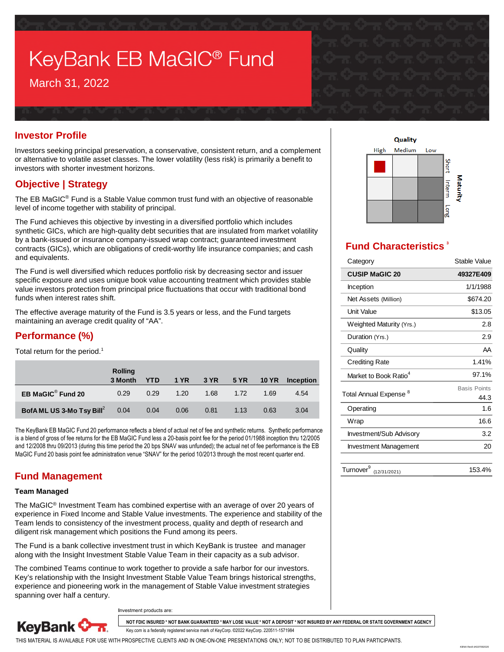# KeyBank EB MaGIC<sup>®</sup> Fund March 31, 2022

# **Investor Profile**

Investors seeking principal preservation, a conservative, consistent return, and a complement or alternative to volatile asset classes. The lower volatility (less risk) is primarily a benefit to investors with shorter investment horizons.

## **Objective | Strategy**

The EB MaGIC® Fund is a Stable Value common trust fund with an objective of reasonable level of income together with stability of principal.

The Fund achieves this objective by investing in a diversified portfolio which includes synthetic GICs, which are high-quality debt securities that are insulated from market volatility by a bank-issued or insurance company-issued wrap contract; guaranteed investment contracts (GICs), which are obligations of credit-worthy life insurance companies; and cash and equivalents.

The Fund is well diversified which reduces portfolio risk by decreasing sector and issuer specific exposure and uses unique book value accounting treatment which provides stable value investors protection from principal price fluctuations that occur with traditional bond funds when interest rates shift.

The effective average maturity of the Fund is 3.5 years or less, and the Fund targets maintaining an average credit quality of "AA".

## **Performance (%)**

Total return for the period.<sup>1</sup>

|                                           | <b>Rolling</b><br>3 Month | <b>YTD</b> | 1 YR 1 | 3 YR 1988 | <b>5 YR</b> | <b>10 YR</b> | Inception |
|-------------------------------------------|---------------------------|------------|--------|-----------|-------------|--------------|-----------|
| EB MaGIC <sup>®</sup> Fund 20             | 0.29                      | 0.29       | 1.20   | 1.68      | 1.72        | 1.69         | 4.54      |
| BofAML US 3-Mo Tsy Bill <sup>2</sup> 0.04 |                           | 0.04       | 0.06   | 0.81      | 1.13        | 0.63         | 3.04      |

The KeyBank EB MaGIC Fund 20 performance reflects a blend of actual net of fee and synthetic returns. Synthetic performance is a blend of gross of fee returns for the EB MaGIC Fund less a 20-basis point fee for the period 01/1988 inception thru 12/2005 and 12/2008 thru 09/2013 (during this time period the 20 bps SNAV was unfunded); the actual net of fee performance is the EB MaGIC Fund 20 basis point fee administration venue "SNAV" for the period 10/2013 through the most recent quarter end.

## **Fund Management**

#### **Team Managed**

The MaGIC® Investment Team has combined expertise with an average of over 20 years of experience in Fixed Income and Stable Value investments. The experience and stability of the Team lends to consistency of the investment process, quality and depth of research and diligent risk management which positions the Fund among its peers.

The Fund is a bank collective investment trust in which KeyBank is trustee and manager along with the Insight Investment Stable Value Team in their capacity as a sub advisor.

The combined Teams continue to work together to provide a safe harbor for our investors. Key's relationship with the Insight Investment Stable Value Team brings historical strengths, experience and pioneering work in the management of Stable Value investment strategies spanning over half a century.

**I**nvestment products are:



**NOT FDIC INSURED \* NOT BANK GUARANTEED \* MAY LOSE VALUE \* NOT A DEPOSIT \* NOT INSURED BY ANY FEDERAL OR STATE GOVERNMENT AGENCY**

Key.com is a federally registered service mark of KeyCorp. ©2022 KeyCorp. 220511-1571984



# **Fund Characteristics <sup>3</sup>**

| Category                              | Stable Value                |
|---------------------------------------|-----------------------------|
| <b>CUSIP MaGIC 20</b>                 | 49327E409                   |
| Inception                             | 1/1/1988                    |
| Net Assets (Million)                  | \$674.20                    |
| Unit Value                            | \$13.05                     |
| Weighted Maturity (Yrs.)              | 2.8                         |
| Duration (Yrs.)                       | 2.9                         |
| Quality                               | AA                          |
| <b>Crediting Rate</b>                 | 1.41%                       |
| Market to Book Ratio <sup>4</sup>     | 97.1%                       |
| Total Annual Expense <sup>8</sup>     | <b>Basis Points</b><br>44.3 |
| Operating                             | 1.6                         |
| Wrap                                  | 16.6                        |
| <b>Investment/Sub Advisory</b>        | 3.2                         |
| <b>Investment Management</b>          | 20                          |
| Turnover <sup>9</sup><br>(12/31/2021) | 153.4%                      |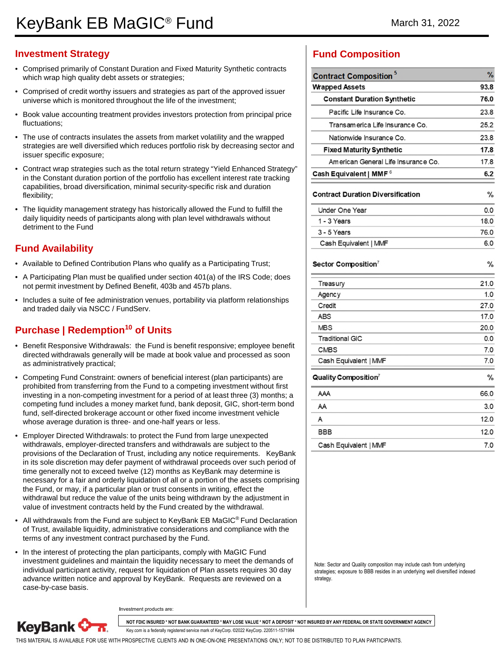# **Investment Strategy**

- Comprised primarily of Constant Duration and Fixed Maturity Synthetic contracts which wrap high quality debt assets or strategies;
- Comprised of credit worthy issuers and strategies as part of the approved issuer universe which is monitored throughout the life of the investment;
- Book value accounting treatment provides investors protection from principal price fluctuations;
- The use of contracts insulates the assets from market volatility and the wrapped strategies are well diversified which reduces portfolio risk by decreasing sector and issuer specific exposure;
- Contract wrap strategies such as the total return strategy "Yield Enhanced Strategy" in the Constant duration portion of the portfolio has excellent interest rate tracking capabilities, broad diversification, minimal security-specific risk and duration flexibility;
- The liquidity management strategy has historically allowed the Fund to fulfill the daily liquidity needs of participants along with plan level withdrawals without detriment to the Fund

# **Fund Availability**

- Available to Defined Contribution Plans who qualify as a Participating Trust;
- A Participating Plan must be qualified under section 401(a) of the IRS Code; does not permit investment by Defined Benefit, 403b and 457b plans.
- Includes a suite of fee administration venues, portability via platform relationships and traded daily via NSCC / FundServ.

# **Purchase | Redemption<sup>10</sup> of Units**

- Benefit Responsive Withdrawals: the Fund is benefit responsive; employee benefit directed withdrawals generally will be made at book value and processed as soon as administratively practical;
- Competing Fund Constraint: owners of beneficial interest (plan participants) are prohibited from transferring from the Fund to a competing investment without first investing in a non-competing investment for a period of at least three (3) months; a competing fund includes a money market fund, bank deposit, GIC, short-term bond fund, self-directed brokerage account or other fixed income investment vehicle whose average duration is three- and one-half years or less.
- Employer Directed Withdrawals: to protect the Fund from large unexpected withdrawals, employer-directed transfers and withdrawals are subject to the provisions of the Declaration of Trust, including any notice requirements. KeyBank in its sole discretion may defer payment of withdrawal proceeds over such period of time generally not to exceed twelve (12) months as KeyBank may determine is necessary for a fair and orderly liquidation of all or a portion of the assets comprising the Fund, or may, if a particular plan or trust consents in writing, effect the withdrawal but reduce the value of the units being withdrawn by the adjustment in value of investment contracts held by the Fund created by the withdrawal.
- All withdrawals from the Fund are subject to KeyBank EB MaGIC<sup>®</sup> Fund Declaration of Trust, available liquidity, administrative considerations and compliance with the terms of any investment contract purchased by the Fund.
- In the interest of protecting the plan participants, comply with MaGIC Fund investment guidelines and maintain the liquidity necessary to meet the demands of individual participant activity, request for liquidation of Plan assets requires 30 day advance written notice and approval by KeyBank. Requests are reviewed on a case-by-case basis.

**I**nvestment products are:

# **KeyBank V**

strategy.

**NOT FDIC INSURED \* NOT BANK GUARANTEED \* MAY LOSE VALUE \* NOT A DEPOSIT \* NOT INSURED BY ANY FEDERAL OR STATE GOVERNMENT AGENCY**

Key.com is a federally registered service mark of KeyCorp. ©2022 KeyCorp. 220511-1571984

# **Fund Composition**

| <b>Contract Composition</b> <sup>5</sup> | %    |
|------------------------------------------|------|
| <b>Wrapped Assets</b>                    | 93.8 |
| <b>Constant Duration Synthetic</b>       | 76.0 |
| Pacific Life Insurance Co.               | 23.8 |
| Transamerica Life Insurance Co.          | 25.2 |
| Nationwide Insurance Co.                 | 23.8 |
| <b>Fixed Maturity Synthetic</b>          | 17.8 |
| American General Life Insurance Co.      | 17.8 |
| Cash Equivalent   MMF <sup>6</sup>       | 6.2  |
| <b>Contract Duration Diversification</b> | %    |
| Under One Year                           | 0.0  |
| 1 - 3 Years                              | 18.0 |
| 3 - 5 Years                              | 76.0 |
| Cash Equivalent   MMF                    | 6.0  |
| Sector Composition <sup>7</sup>          | %    |
| Treasury                                 | 21.0 |
| Agency                                   | 1.0  |
| Credit                                   | 27.0 |
| <b>ABS</b>                               | 17.0 |
| <b>MBS</b>                               | 20.0 |
| <b>Traditional GIC</b>                   | 0.0  |
| <b>CMBS</b>                              | 7.0  |
| Cash Equivalent   MMF                    | 7.0  |
| Quality Composition $7$                  | %    |
| AAA                                      | 66.0 |
| AA                                       | 3.0  |
| A                                        | 12.0 |
| <b>BBB</b>                               | 12.0 |
| Cash Equivalent   MMF                    | 7.0  |

Note: Sector and Quality composition may include cash from underlying strategies; exposure to BBB resides in an underlying well diversified indexed

THIS MATERIAL IS AVAILABLE FOR USE WITH PROSPECTIVE CLIENTS AND IN ONE-ON-ONE PRESENTATIONS ONLY; NOT TO BE DISTRIBUTED TO PLAN PARTICIPANTS.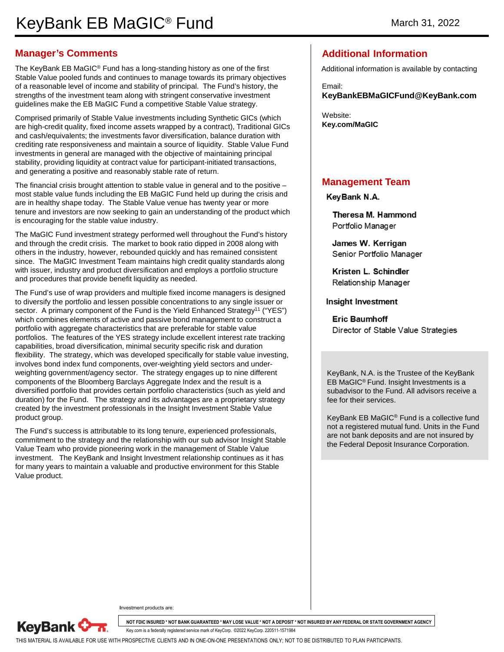# **Manager's Comments**

The KeyBank EB MaGIC® Fund has a long-standing history as one of the first Stable Value pooled funds and continues to manage towards its primary objectives of a reasonable level of income and stability of principal. The Fund's history, the strengths of the investment team along with stringent conservative investment guidelines make the EB MaGIC Fund a competitive Stable Value strategy.

Comprised primarily of Stable Value investments including Synthetic GICs (which are high-credit quality, fixed income assets wrapped by a contract), Traditional GICs and cash/equivalents; the investments favor diversification, balance duration with crediting rate responsiveness and maintain a source of liquidity. Stable Value Fund investments in general are managed with the objective of maintaining principal stability, providing liquidity at contract value for participant-initiated transactions, and generating a positive and reasonably stable rate of return.

The financial crisis brought attention to stable value in general and to the positive – most stable value funds including the EB MaGIC Fund held up during the crisis and are in healthy shape today. The Stable Value venue has twenty year or more tenure and investors are now seeking to gain an understanding of the product which is encouraging for the stable value industry.

The MaGIC Fund investment strategy performed well throughout the Fund's history and through the credit crisis. The market to book ratio dipped in 2008 along with others in the industry, however, rebounded quickly and has remained consistent since. The MaGIC Investment Team maintains high credit quality standards along with issuer, industry and product diversification and employs a portfolio structure and procedures that provide benefit liquidity as needed.

The Fund's use of wrap providers and multiple fixed income managers is designed to diversify the portfolio and lessen possible concentrations to any single issuer or sector. A primary component of the Fund is the Yield Enhanced Strategy<sup>11</sup> ("YES") which combines elements of active and passive bond management to construct a portfolio with aggregate characteristics that are preferable for stable value portfolios. The features of the YES strategy include excellent interest rate tracking capabilities, broad diversification, minimal security specific risk and duration flexibility. The strategy, which was developed specifically for stable value investing, involves bond index fund components, over-weighting yield sectors and underweighting government/agency sector. The strategy engages up to nine different components of the Bloomberg Barclays Aggregate Index and the result is a diversified portfolio that provides certain portfolio characteristics (such as yield and duration) for the Fund. The strategy and its advantages are a proprietary strategy created by the investment professionals in the Insight Investment Stable Value product group.

The Fund's success is attributable to its long tenure, experienced professionals, commitment to the strategy and the relationship with our sub advisor Insight Stable Value Team who provide pioneering work in the management of Stable Value investment. The KeyBank and Insight Investment relationship continues as it has for many years to maintain a valuable and productive environment for this Stable Value product.

## **Additional Information**

Additional information is available by contacting

Email: **KeyBankEBMaGICFund@KeyBank.com**

Website: **Key.com/MaGIC**

### **Management Team**

KeyBank N.A.

Theresa M. Hammond Portfolio Manager

James W. Kerrigan Senior Portfolio Manager

Kristen L. Schindler Relationship Manager

#### Insight Investment

**Eric Baumhoff** Director of Stable Value Strategies

KeyBank, N.A. is the Trustee of the KeyBank EB MaGIC® Fund. Insight Investments is a subadvisor to the Fund. All advisors receive a fee for their services.

KeyBank EB MaGIC® Fund is a collective fund not a registered mutual fund. Units in the Fund are not bank deposits and are not insured by the Federal Deposit Insurance Corporation.

**I**nvestment products are:

**NOT FDIC INSURED \* NOT BANK GUARANTEED \* MAY LOSE VALUE \* NOT A DEPOSIT \* NOT INSURED BY ANY FEDERAL OR STATE GOVERNMENT AGENCY**

**KeyBank <del>Onr</del>** Key.com is a federally registered service mark of KeyCorp. ©2022 KeyCorp. 220511-1571984

THIS MATERIAL IS AVAILABLE FOR USE WITH PROSPECTIVE CLIENTS AND IN ONE-ON-ONE PRESENTATIONS ONLY; NOT TO BE DISTRIBUTED TO PLAN PARTICIPANTS.